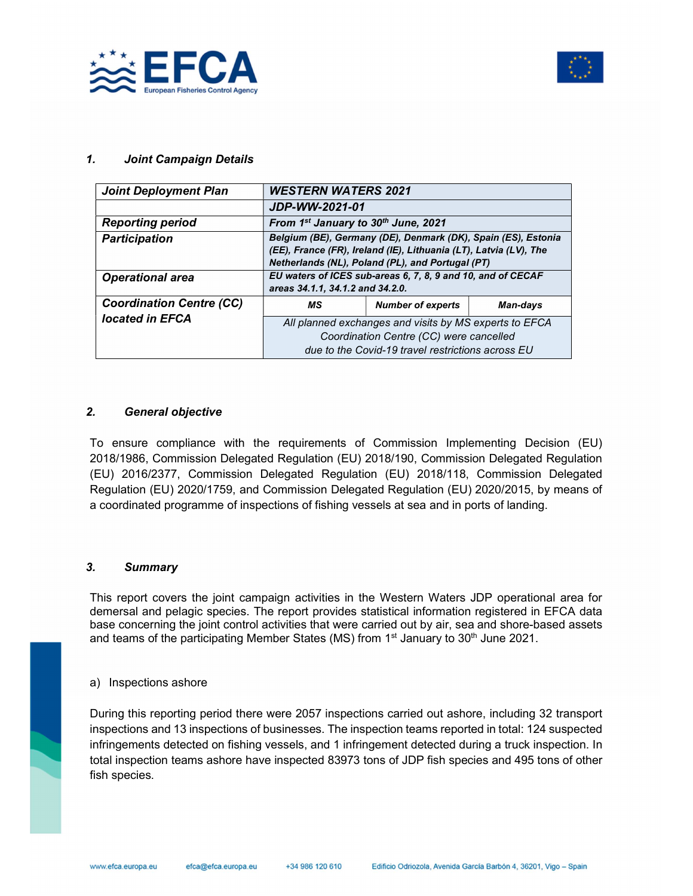



#### 1. Joint Campaign Details

| <b>Joint Deployment Plan</b>    | <b>WESTERN WATERS 2021</b>                                    |                                                                   |                 |  |  |
|---------------------------------|---------------------------------------------------------------|-------------------------------------------------------------------|-----------------|--|--|
|                                 | JDP-WW-2021-01                                                |                                                                   |                 |  |  |
| <b>Reporting period</b>         | From 1st January to 30th June, 2021                           |                                                                   |                 |  |  |
| <b>Participation</b>            | Belgium (BE), Germany (DE), Denmark (DK), Spain (ES), Estonia |                                                                   |                 |  |  |
|                                 |                                                               | (EE), France (FR), Ireland (IE), Lithuania (LT), Latvia (LV), The |                 |  |  |
|                                 |                                                               | Netherlands (NL), Poland (PL), and Portugal (PT)                  |                 |  |  |
| <b>Operational area</b>         |                                                               | EU waters of ICES sub-areas 6, 7, 8, 9 and 10, and of CECAF       |                 |  |  |
|                                 | areas 34.1.1, 34.1.2 and 34.2.0.                              |                                                                   |                 |  |  |
|                                 |                                                               |                                                                   |                 |  |  |
| <b>Coordination Centre (CC)</b> | МS                                                            | <b>Number of experts</b>                                          | <b>Man-days</b> |  |  |
| located in EFCA                 |                                                               | All planned exchanges and visits by MS experts to EFCA            |                 |  |  |
|                                 |                                                               | Coordination Centre (CC) were cancelled                           |                 |  |  |

#### 2. General objective

To ensure compliance with the requirements of Commission Implementing Decision (EU) 2018/1986, Commission Delegated Regulation (EU) 2018/190, Commission Delegated Regulation (EU) 2016/2377, Commission Delegated Regulation (EU) 2018/118, Commission Delegated Regulation (EU) 2020/1759, and Commission Delegated Regulation (EU) 2020/2015, by means of a coordinated programme of inspections of fishing vessels at sea and in ports of landing.

### 3. Summary

This report covers the joint campaign activities in the Western Waters JDP operational area for demersal and pelagic species. The report provides statistical information registered in EFCA data base concerning the joint control activities that were carried out by air, sea and shore-based assets and teams of the participating Member States (MS) from  $1<sup>st</sup>$  January to 30<sup>th</sup> June 2021.

#### a) Inspections ashore

During this reporting period there were 2057 inspections carried out ashore, including 32 transport inspections and 13 inspections of businesses. The inspection teams reported in total: 124 suspected infringements detected on fishing vessels, and 1 infringement detected during a truck inspection. In total inspection teams ashore have inspected 83973 tons of JDP fish species and 495 tons of other fish species.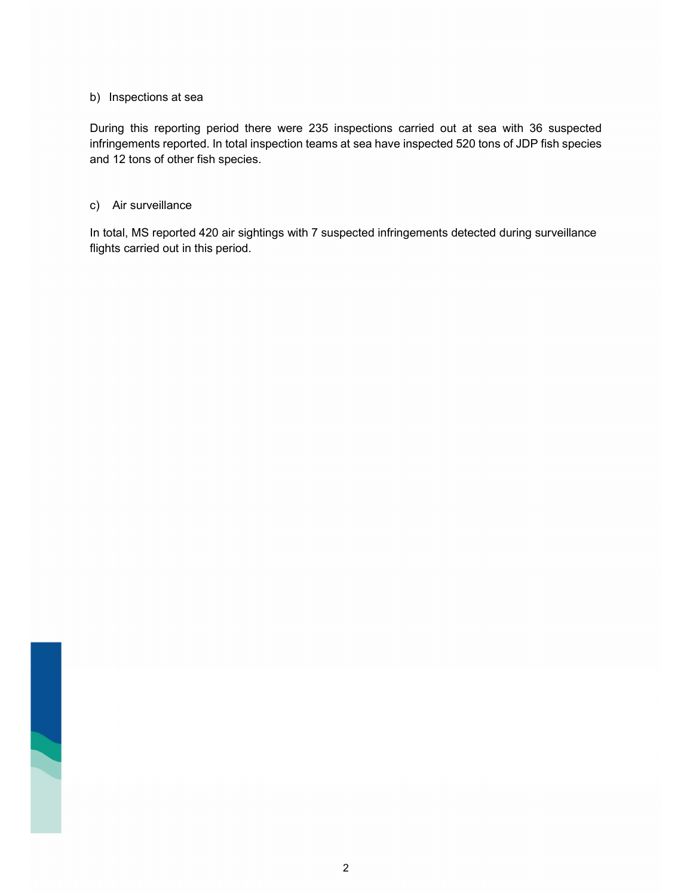#### b) Inspections at sea

During this reporting period there were 235 inspections carried out at sea with 36 suspected infringements reported. In total inspection teams at sea have inspected 520 tons of JDP fish species and 12 tons of other fish species.

#### c) Air surveillance

In total, MS reported 420 air sightings with 7 suspected infringements detected during surveillance flights carried out in this period.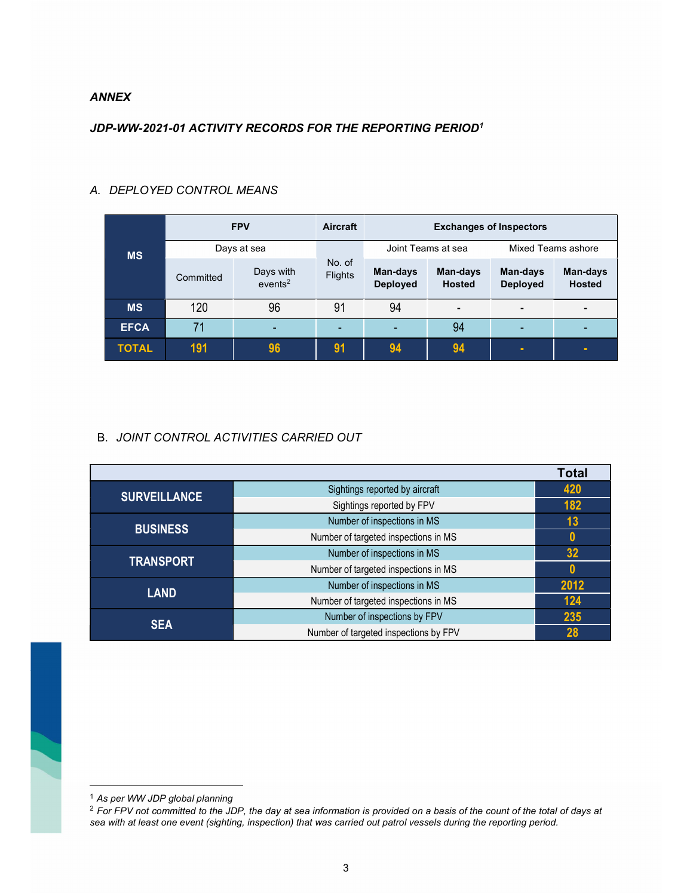#### ANNEX

## JDP-WW-2021-01 ACTIVITY RECORDS FOR THE REPORTING PERIOD<sup>1</sup>

| <b>MS</b>    | <b>FPV</b>  |                                  | <b>Aircraft</b>   | <b>Exchanges of Inspectors</b> |                           |                             |                           |
|--------------|-------------|----------------------------------|-------------------|--------------------------------|---------------------------|-----------------------------|---------------------------|
|              | Days at sea |                                  |                   | Joint Teams at sea             |                           | Mixed Teams ashore          |                           |
|              | Committed   | Days with<br>events <sup>2</sup> | No. of<br>Flights | Man-days<br><b>Deployed</b>    | Man-days<br><b>Hosted</b> | Man-days<br><b>Deployed</b> | Man-days<br><b>Hosted</b> |
| <b>MS</b>    | 120         | 96                               | 91                | 94                             | $\,$                      |                             |                           |
| <b>EFCA</b>  | 71          |                                  |                   |                                | 94                        |                             |                           |
| <b>TOTAL</b> | 191         | 96                               | 91                | 94                             | 94                        | ۰                           | ۰                         |

## A. DEPLOYED CONTROL MEANS

## B. JOINT CONTROL ACTIVITIES CARRIED OUT

| <b>Total</b>        |                                       |      |  |  |
|---------------------|---------------------------------------|------|--|--|
| <b>SURVEILLANCE</b> | Sightings reported by aircraft        | 420  |  |  |
|                     | Sightings reported by FPV             | 182  |  |  |
|                     | Number of inspections in MS           | 13   |  |  |
| <b>BUSINESS</b>     | Number of targeted inspections in MS  |      |  |  |
|                     | Number of inspections in MS           | 32   |  |  |
| <b>TRANSPORT</b>    | Number of targeted inspections in MS  |      |  |  |
| <b>LAND</b>         | Number of inspections in MS           | 2012 |  |  |
|                     | Number of targeted inspections in MS  | 124  |  |  |
| <b>SEA</b>          | Number of inspections by FPV          | 235  |  |  |
|                     | Number of targeted inspections by FPV |      |  |  |

<sup>1</sup> As per WW JDP global planning

<sup>&</sup>lt;sup>2</sup> For FPV not committed to the JDP, the day at sea information is provided on a basis of the count of the total of days at sea with at least one event (sighting, inspection) that was carried out patrol vessels during the reporting period.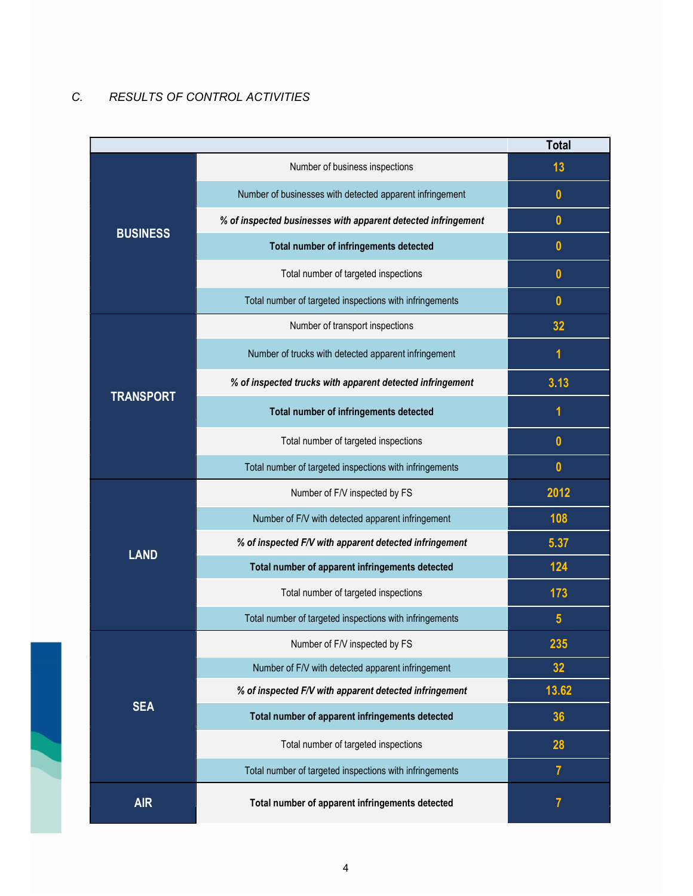# C. RESULTS OF CONTROL ACTIVITIES

i.

|                  |                                                               | <b>Total</b>   |
|------------------|---------------------------------------------------------------|----------------|
|                  | Number of business inspections                                | 13             |
|                  | Number of businesses with detected apparent infringement      | $\mathbf{0}$   |
|                  | % of inspected businesses with apparent detected infringement | $\mathbf{0}$   |
| <b>BUSINESS</b>  | Total number of infringements detected                        | $\mathbf{0}$   |
|                  | Total number of targeted inspections                          | $\mathbf{0}$   |
|                  | Total number of targeted inspections with infringements       | $\mathbf{0}$   |
|                  | Number of transport inspections                               | 32             |
|                  | Number of trucks with detected apparent infringement          | 1              |
|                  | % of inspected trucks with apparent detected infringement     | 3.13           |
| <b>TRANSPORT</b> | Total number of infringements detected                        | 1              |
|                  | Total number of targeted inspections                          | $\mathbf{0}$   |
|                  | Total number of targeted inspections with infringements       | $\mathbf{0}$   |
|                  | Number of F/V inspected by FS                                 | 2012           |
|                  | Number of F/V with detected apparent infringement             | 108            |
|                  | % of inspected F/V with apparent detected infringement        | 5.37           |
| <b>LAND</b>      | Total number of apparent infringements detected               | 124            |
|                  | Total number of targeted inspections                          | 173            |
|                  | Total number of targeted inspections with infringements       | 5              |
|                  | Number of F/V inspected by FS                                 | 235            |
|                  | Number of F/V with detected apparent infringement             | 32             |
|                  | % of inspected F/V with apparent detected infringement        | 13.62          |
| <b>SEA</b>       | Total number of apparent infringements detected               | 36             |
|                  | Total number of targeted inspections                          | 28             |
|                  | Total number of targeted inspections with infringements       | $\overline{7}$ |
| <b>AIR</b>       | Total number of apparent infringements detected               | 7              |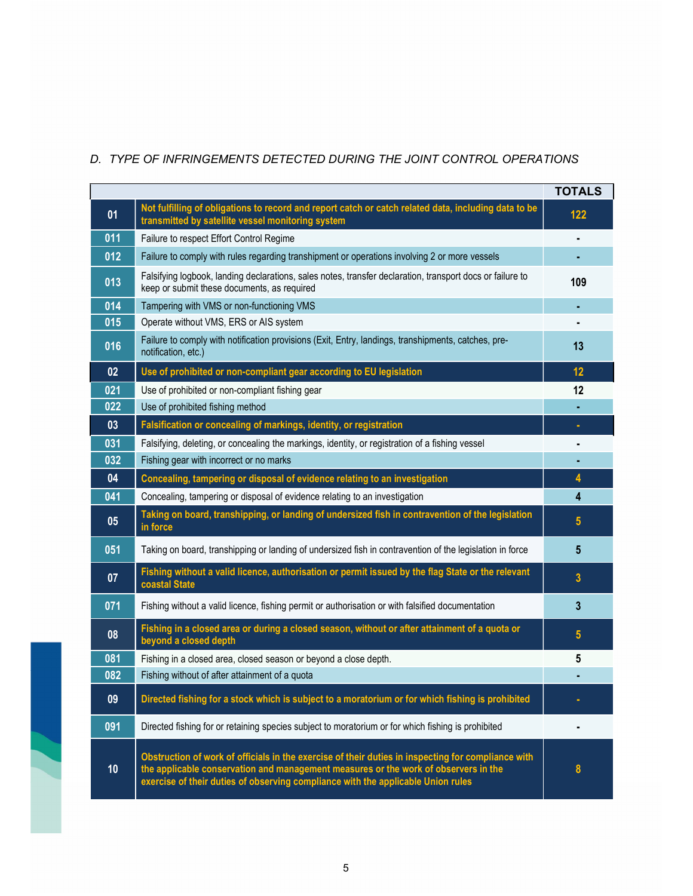## D. TYPE OF INFRINGEMENTS DETECTED DURING THE JOINT CONTROL OPERATIONS

|     |                                                                                                                                                                                                                                                                               | <b>TOTALS</b> |
|-----|-------------------------------------------------------------------------------------------------------------------------------------------------------------------------------------------------------------------------------------------------------------------------------|---------------|
| 01  | Not fulfilling of obligations to record and report catch or catch related data, including data to be<br>transmitted by satellite vessel monitoring system                                                                                                                     | 122           |
| 011 | Failure to respect Effort Control Regime                                                                                                                                                                                                                                      |               |
| 012 | Failure to comply with rules regarding transhipment or operations involving 2 or more vessels                                                                                                                                                                                 |               |
| 013 | Falsifying logbook, landing declarations, sales notes, transfer declaration, transport docs or failure to<br>keep or submit these documents, as required                                                                                                                      | 109           |
| 014 | Tampering with VMS or non-functioning VMS                                                                                                                                                                                                                                     |               |
| 015 | Operate without VMS, ERS or AIS system                                                                                                                                                                                                                                        |               |
| 016 | Failure to comply with notification provisions (Exit, Entry, landings, transhipments, catches, pre-<br>notification, etc.)                                                                                                                                                    | 13            |
| 02  | Use of prohibited or non-compliant gear according to EU legislation                                                                                                                                                                                                           | 12            |
| 021 | Use of prohibited or non-compliant fishing gear                                                                                                                                                                                                                               | 12            |
| 022 | Use of prohibited fishing method                                                                                                                                                                                                                                              |               |
| 03  | Falsification or concealing of markings, identity, or registration                                                                                                                                                                                                            |               |
| 031 | Falsifying, deleting, or concealing the markings, identity, or registration of a fishing vessel                                                                                                                                                                               |               |
| 032 | Fishing gear with incorrect or no marks                                                                                                                                                                                                                                       |               |
| 04  | Concealing, tampering or disposal of evidence relating to an investigation                                                                                                                                                                                                    | 4             |
| 041 | Concealing, tampering or disposal of evidence relating to an investigation                                                                                                                                                                                                    | 4             |
| 05  | Taking on board, transhipping, or landing of undersized fish in contravention of the legislation<br>in force                                                                                                                                                                  | 5             |
| 051 | Taking on board, transhipping or landing of undersized fish in contravention of the legislation in force                                                                                                                                                                      | 5             |
| 07  | Fishing without a valid licence, authorisation or permit issued by the flag State or the relevant<br>coastal State                                                                                                                                                            | 3             |
| 071 | Fishing without a valid licence, fishing permit or authorisation or with falsified documentation                                                                                                                                                                              | 3             |
| 08  | Fishing in a closed area or during a closed season, without or after attainment of a quota or<br>beyond a closed depth                                                                                                                                                        | 5             |
| 081 | Fishing in a closed area, closed season or beyond a close depth.                                                                                                                                                                                                              | 5             |
| 082 | Fishing without of after attainment of a quota                                                                                                                                                                                                                                |               |
| 09  | Directed fishing for a stock which is subject to a moratorium or for which fishing is prohibited                                                                                                                                                                              |               |
| 091 | Directed fishing for or retaining species subject to moratorium or for which fishing is prohibited                                                                                                                                                                            |               |
| 10  | Obstruction of work of officials in the exercise of their duties in inspecting for compliance with<br>the applicable conservation and management measures or the work of observers in the<br>exercise of their duties of observing compliance with the applicable Union rules | 8             |